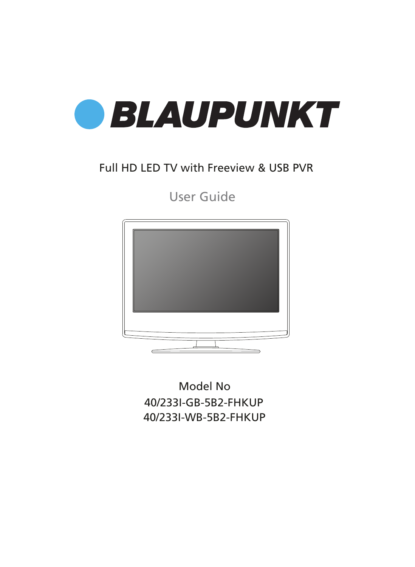

## Full HD LED TV with Freeview & USB PVR

User Guide



40/233I-GB-5B2-FHKUP 40/233I-WB-5B2-FHKUP Model No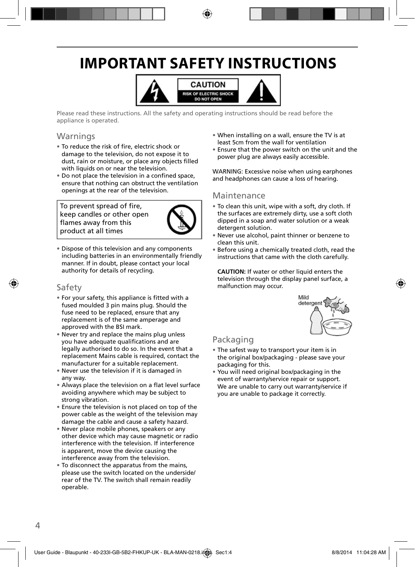## **IMPORTANT SAFETY INSTRUCTIONS**



Please read these instructions. All the safety and operating instructions should be read before the appliance is operated.

### **Warnings**

- To reduce the risk of fire, electric shock or damage to the television, do not expose it to dust, rain or moisture, or place any objects filled with liquids on or near the television.
- Do not place the television in a confined space, ensure that nothing can obstruct the ventilation openings at the rear of the television.

To prevent spread of fire, keep candles or other open flames away from this product at all times



• Dispose of this television and any components including batteries in an environmentally friendly manner. If in doubt, please contact your local authority for details of recycling.

### Safety

- For your safety, this appliance is fitted with a fused moulded 3 pin mains plug. Should the fuse need to be replaced, ensure that any replacement is of the same amperage and approved with the BSI mark.
- Never try and replace the mains plug unless you have adequate qualifications and are legally authorised to do so. In the event that a replacement Mains cable is required, contact the manufacturer for a suitable replacement.
- Never use the television if it is damaged in any way.
- Always place the television on a flat level surface avoiding anywhere which may be subject to strong vibration.
- Ensure the television is not placed on top of the power cable as the weight of the television may damage the cable and cause a safety hazard.
- Never place mobile phones, speakers or any other device which may cause magnetic or radio interference with the television. If interference is apparent, move the device causing the interference away from the television.
- To disconnect the apparatus from the mains, please use the switch located on the underside/ rear of the TV. The switch shall remain readily operable.
- When installing on a wall, ensure the TV is at least 5cm from the wall for ventilation
- Ensure that the power switch on the unit and the power plug are always easily accessible.

WARNING: Excessive noise when using earphones and headphones can cause a loss of hearing.

### **Maintenance**

- To clean this unit, wipe with a soft, dry cloth. If the surfaces are extremely dirty, use a soft cloth dipped in a soap and water solution or a weak detergent solution.
- Never use alcohol, paint thinner or benzene to clean this unit.
- Before using a chemically treated cloth, read the instructions that came with the cloth carefully.

**CAUTION:** If water or other liquid enters the television through the display panel surface, a malfunction may occur.



### Packaging

- The safest way to transport your item is in the original box/packaging - please save your packaging for this.
- You will need original box/packaging in the event of warranty/service repair or support. We are unable to carry out warranty/service if you are unable to package it correctly.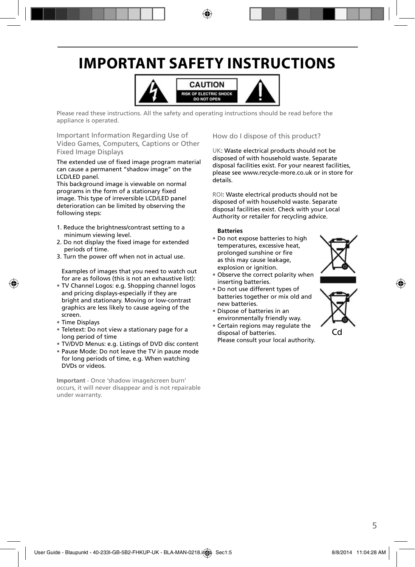## **IMPORTANT SAFETY INSTRUCTIONS**



Please read these instructions. All the safety and operating instructions should be read before the appliance is operated.

Important Information Regarding Use of Video Games, Computers, Captions or Other Fixed Image Displays

The extended use of fixed image program material can cause a permanent "shadow image" on the LCD/LED panel.

This background image is viewable on normal programs in the form of a stationary fixed image. This type of irreversible LCD/LED panel deterioration can be limited by observing the following steps:

- 1. Reduce the brightness/contrast setting to a minimum viewing level.
- 2. Do not display the fixed image for extended periods of time.
- 3. Turn the power off when not in actual use.

Examples of images that you need to watch out for are as follows (this is not an exhaustive list):

- TV Channel Logos: e.g. Shopping channel logos and pricing displays-especially if they are bright and stationary. Moving or low-contrast graphics are less likely to cause ageing of the screen.
- Time Displays
- Teletext: Do not view a stationary page for a long period of time
- TV/DVD Menus: e.g. Listings of DVD disc content
- Pause Mode: Do not leave the TV in pause mode for long periods of time, e.g. When watching DVDs or videos.

**Important** - Once 'shadow image/screen burn' occurs, it will never disappear and is not repairable under warranty.

How do I dispose of this product?

UK: Waste electrical products should not be disposed of with household waste. Separate disposal facilities exist. For your nearest facilities, please see www.recycle-more.co.uk or in store for details.

ROI: Waste electrical products should not be disposed of with household waste. Separate disposal facilities exist. Check with your Local Authority or retailer for recycling advice.

#### **Batteries**

- Do not expose batteries to high temperatures, excessive heat, prolonged sunshine or fire as this may cause leakage, explosion or ignition.
- Observe the correct polarity when inserting batteries.
- Do not use different types of batteries together or mix old and new batteries.
- Dispose of batteries in an environmentally friendly way.
- Certain regions may regulate the disposal of batteries. Please consult your local authority.



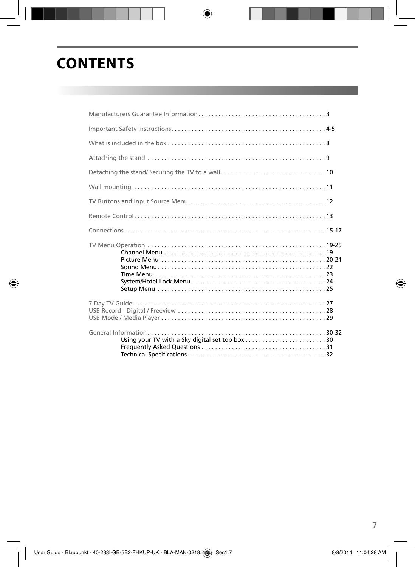## **CONTENTS**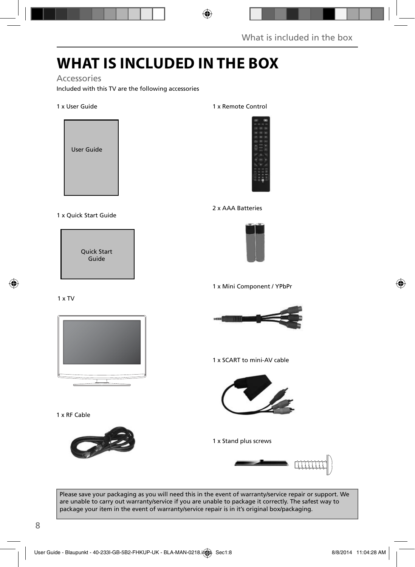## **WHAT IS INCLUDED IN THE BOX**

### Accessories

Included with this TV are the following accessories

### 1 x User Guide



### 1 x Quick Start Guide



### 1 x Remote Control



### 2 x AAA Batteries



1 x Mini Component / YPbPr

1 x RF Cable

1 x TV





1 x SCART to mini-AV cable



1 x Stand plus screws



Please save your packaging as you will need this in the event of warranty/service repair or support. We are unable to carry out warranty/service if you are unable to package it correctly. The safest way to package your item in the event of warranty/service repair is in it's original box/packaging.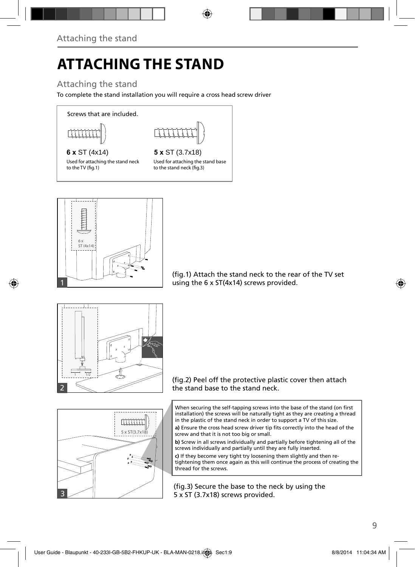# **ATTACHING THE STAND**

### Attaching the stand

To complete the stand installation you will require a cross head screw driver

Screws that are included.





### **6 x** ST (4x14) **5 x** ST (3.7x18)

Used for attaching the stand neck to the TV (fig.1)

Used for attaching the stand base to the stand neck (fig. 3)



(fig.1) Attach the stand neck to the rear of the TV set using the 6 x ST(4x14) screws provided.



(fig.2) Peel off the protective plastic cover then attach the stand base to the stand neck.

When securing the self-tapping screws into the base of the stand (on first installation) the screws will be naturally tight as they are creating a thread in the plastic of the stand neck in order to support a TV of this size.

a) Ensure the cross head screw driver tip fits correctly into the head of the screw and that it is not too big or small.

**b)** Screw in all screws individually and partially before tightening all of the screws individually and partially until they are fully inserted.

**c)** If they become very tight try loosening them slightly and then retightening them once again as this will continue the process of creating the thread for the screws.

(fig.3) Secure the base to the neck by using the 5 x ST (3.7x18) screws provided.

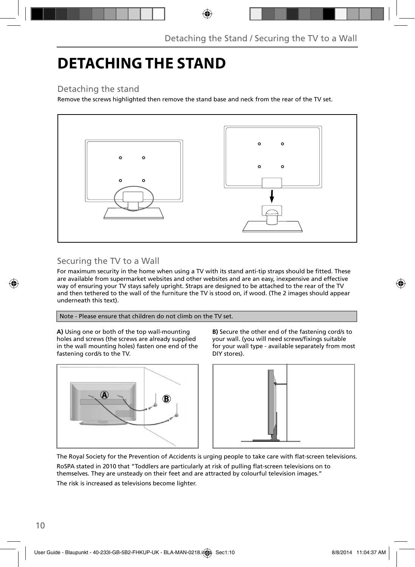## **DETACHING THE STAND**

### Detaching the stand

Remove the screws highlighted then remove the stand base and neck from the rear of the TV set.



### Securing the TV to a Wall

For maximum security in the home when using a TV with its stand anti-tip straps should be fitted. These are available from supermarket websites and other websites and are an easy, inexpensive and effective way of ensuring your TV stays safely upright. Straps are designed to be attached to the rear of the TV and then tethered to the wall of the furniture the TV is stood on, if wood. (The 2 images should appear underneath this text).

### Note - Please ensure that children do not climb on the TV set.

**A)** Using one or both of the top wall-mounting holes and screws (the screws are already supplied in the wall mounting holes) fasten one end of the fastening cord/s to the TV.



**B)** Secure the other end of the fastening cord/s to your wall. (you will need screws/fixings suitable for your wall type - available separately from most DIY stores).



The Royal Society for the Prevention of Accidents is urging people to take care with flat-screen televisions. RoSPA stated in 2010 that "Toddlers are particularly at risk of pulling flat-screen televisions on to themselves. They are unsteady on their feet and are attracted by colourful television images."

The risk is increased as televisions become lighter.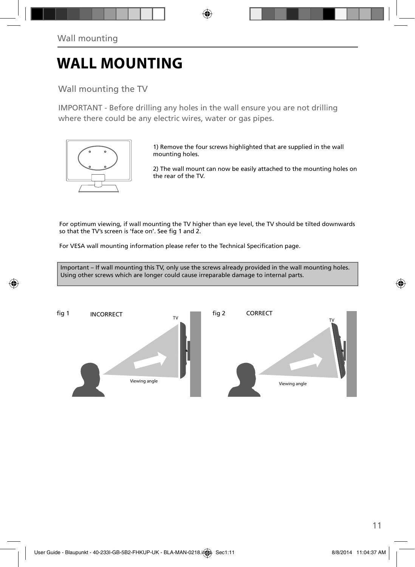## **WALL MOUNTING**

Wall mounting the TV

IMPORTANT - Before drilling any holes in the wall ensure you are not drilling where there could be any electric wires, water or gas pipes.



1) Remove the four screws highlighted that are supplied in the wall mounting holes.

2) The wall mount can now be easily attached to the mounting holes on the rear of the TV.

For optimum viewing, if wall mounting the TV higher than eye level, the TV should be tilted downwards so that the TV's screen is 'face on'. See fig 1 and 2.

For VESA wall mounting information please refer to the Technical Specification page.

Important – If wall mounting this TV, only use the screws already provided in the wall mounting holes. Using other screws which are longer could cause irreparable damage to internal parts.

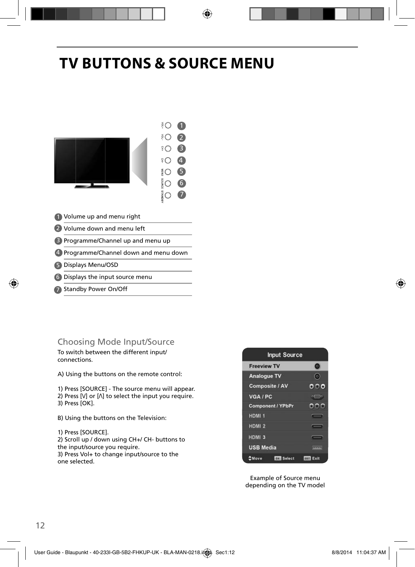## **TV BUTTONS & SOURCE MENU**



### Choosing Mode Input/Source

To switch between the different input/ connections.

A) Using the buttons on the remote control:

1) Press [SOURCE] - The source menu will appear. 2) Press  $[V]$  or  $[\Lambda]$  to select the input you require.

3) Press [OK].

B) Using the buttons on the Television:

1) Press [SOURCE]. 2) Scroll up / down using CH+/ CH- buttons to the input/source you require. 3) Press Vol+ to change input/source to the one selected.



Example of Source menu depending on the TV model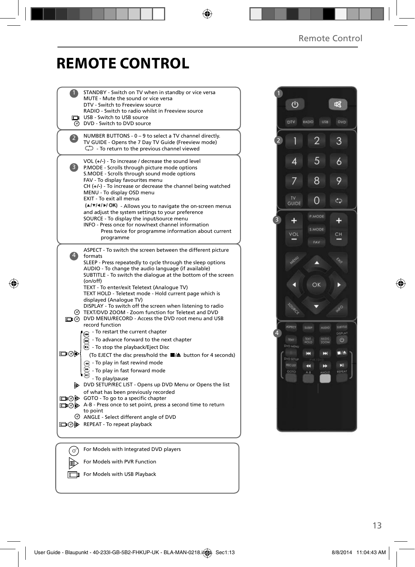## **REMOTE CONTROL**

|                | STANDBY - Switch on TV when in standby or vice versa<br>MUTE - Mute the sound or vice versa<br>DTV - Switch to Freeview source<br>RADIO - Switch to radio whilst in Freeview source                                                                                                                                                                                                                                                                                                                                                                                                                                                       |  |
|----------------|-------------------------------------------------------------------------------------------------------------------------------------------------------------------------------------------------------------------------------------------------------------------------------------------------------------------------------------------------------------------------------------------------------------------------------------------------------------------------------------------------------------------------------------------------------------------------------------------------------------------------------------------|--|
|                | <b>The USB - Switch to USB source</b><br>@ DVD - Switch to DVD source                                                                                                                                                                                                                                                                                                                                                                                                                                                                                                                                                                     |  |
| $\overline{2}$ | NUMBER BUTTONS - 0 - 9 to select a TV channel directly.<br>TV GUIDE - Opens the 7 Day TV Guide (Freeview mode)<br>$\mathbb{C}$ - To return to the previous channel viewed                                                                                                                                                                                                                                                                                                                                                                                                                                                                 |  |
| 3)             | VOL (+/-) - To increase / decrease the sound level<br>P.MODE - Scrolls through picture mode options<br>S.MODE - Scrolls through sound mode options<br>FAV - To display favourites menu<br>$CH (+/-)$ - To increase or decrease the channel being watched<br>MENU - To display OSD menu<br>EXIT - To exit all menus<br>(A/V/4/M/OK) - Allows you to navigate the on-screen menus<br>and adjust the system settings to your preference<br>SOURCE - To display the input/source menu<br>INFO - Press once for now/next channel information<br>Press twice for programme information about current<br>programme                               |  |
| $\ket{4}$      | ASPECT - To switch the screen between the different picture<br>formats<br>SLEEP - Press repeatedly to cycle through the sleep options<br>AUDIO - To change the audio language (if available)<br>SUBTITLE - To switch the dialogue at the bottom of the screen<br>(on/off)<br>TEXT - To enter/exit Teletext (Analogue TV)<br>TEXT HOLD - Teletext mode - Hold current page which is<br>displayed (Analoque TV)<br>DISPLAY - To switch off the screen when listening to radio<br>TEXT/DVD ZOOM - Zoom function for Teletext and DVD<br>O DVD MENU/RECORD - Access the DVD root menu and USB<br>record function                              |  |
| య⊚⊡            | - To restart the current chapter<br>$\widetilde{\mathbf{w}}$ - To advance forward to the next chapter<br><b>B</b> - To stop the playback/Eject Disc<br>(To EJECT the disc press/hold the ■▲ button for 4 seconds)<br>$\left( \widehat{)}$ - To play in fast rewind mode<br>- To play in fast forward mode<br>- To play/pause<br>DVD SETUP/REC LIST - Opens up DVD Menu or Opens the list<br>of what has been previously recorded<br>□ ⊙ iD GOTO - To go to a specific chapter<br>A-B - Press once to set point, press a second time to return<br>to point<br>C ANGLE - Select different angle of DVD<br>□ ⑦ A REPEAT - To repeat playback |  |
|                | For Models with Integrated DVD players                                                                                                                                                                                                                                                                                                                                                                                                                                                                                                                                                                                                    |  |
|                | For Models with PVR Function                                                                                                                                                                                                                                                                                                                                                                                                                                                                                                                                                                                                              |  |

For Models with USB Playback

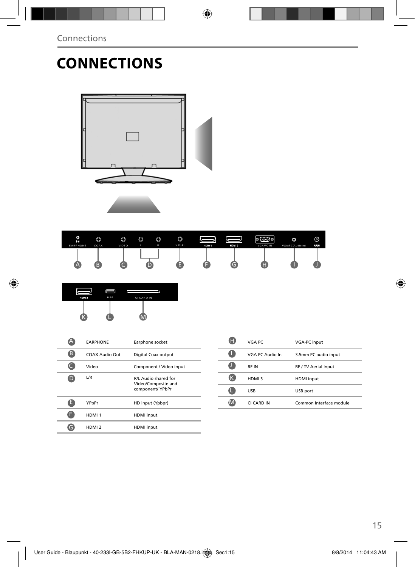## **CONNECTIONS**







|    | <b>EARPHONE</b>   | Earphone socket                                                 |   |
|----|-------------------|-----------------------------------------------------------------|---|
| B. | COAX Audio Out    | Digital Coax output                                             |   |
|    | Video             | Component / Video input                                         |   |
| D  | L/R               | R/L Audio shared for<br>Video/Composite and<br>component/ YPbPr | K |
| ⊕  | YPbPr             | HD input (Ypbpr)                                                |   |
| F  | HDMI <sub>1</sub> | <b>HDMI</b> input                                               |   |
| G  | HDMI <sub>2</sub> | HDMI input                                                      |   |

| н | VGA PC          | <b>VGA-PC input</b>     |
|---|-----------------|-------------------------|
|   | VGA PC Audio In | 3.5mm PC audio input    |
|   | <b>RFIN</b>     | RF / TV Aerial Input    |
|   | HDMI3           | <b>HDMI</b> input       |
|   | USB             | USB port                |
|   | CI CARD IN      | Common Interface module |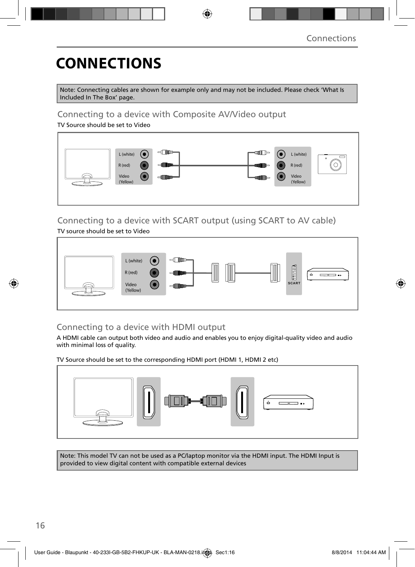## **CONNECTIONS**

Note: Connecting cables are shown for example only and may not be included. Please check 'What Is Included In The Box' page.

### Connecting to a device with Composite AV/Video output

TV Source should be set to Video



### Connecting to a device with SCART output (using SCART to AV cable)

TV source should be set to Video



### Connecting to a device with HDMI output

A HDMI cable can output both video and audio and enables you to enjoy digital-quality video and audio with minimal loss of quality.

TV Source should be set to the corresponding HDMI port (HDMI 1, HDMI 2 etc)



Note: This model TV can not be used as a PC/laptop monitor via the HDMI input. The HDMI Input is provided to view digital content with compatible external devices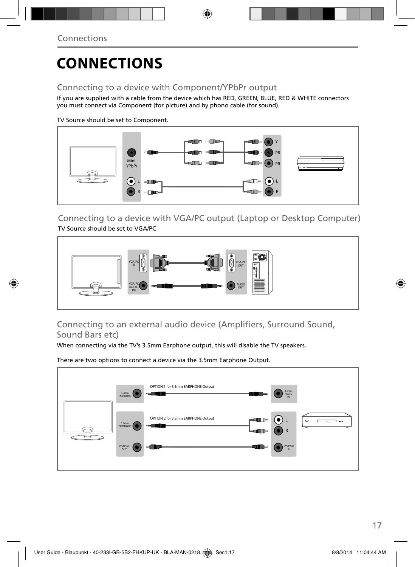## **CONNECTIONS**

### Connecting to a device with Component/YPbPr output

If you are supplied with a cable from the device which has RED, GREEN, BLUE, RED & WHITE connectors you must connect via Component (for picture) and by phono cable (for sound).

TV Source should be set to Component.



Connecting to a device with VGA/PC output (Laptop or Desktop Computer) TV Source should be set to VGA/PC



Connecting to an external audio device (Amplifiers, Surround Sound, Sound Bars etc)

When connecting via the TV's 3.5mm Earphone output, this will disable the TV speakers.

There are two options to connect a device via the 3.5mm Earphone Output.

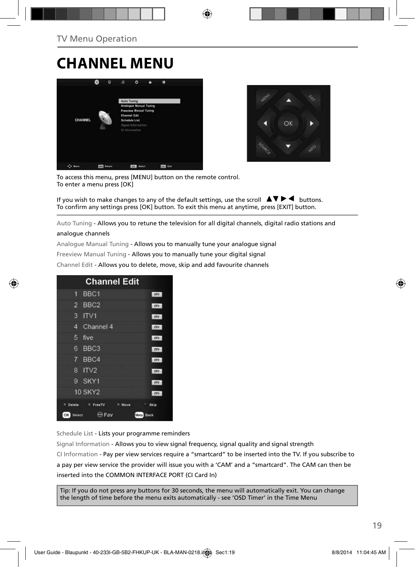## **CHANNEL MENU**





To access this menu, press [MENU] button on the remote control. To enter a menu press [OK]

If you wish to make changes to any of the default settings, use the scroll  $\blacktriangle \blacktriangledown \blacktriangleright \blacktriangleleft$  buttons. To confirm any settings press [OK] button. To exit this menu at anytime, press [EXIT] button.

Auto Tuning - Allows you to retune the television for all digital channels, digital radio stations and

#### analogue channels

Analogue Manual Tuning - Allows you to manually tune your analogue signal

Freeview Manual Tuning - Allows you to manually tune your digital signal

Channel Edit - Allows you to delete, move, skip and add favourite channels

|                | <b>Channel Edit</b>                      |              |
|----------------|------------------------------------------|--------------|
| 1              | BBC1                                     | otv          |
| $\overline{2}$ | BBC <sub>2</sub>                         | ony          |
| 3              | ITV1                                     | orv          |
| 4              | Channel 4                                | otv          |
| 5              | five                                     | <b>DIV</b>   |
| 6              | BBC <sub>3</sub>                         | ony          |
| $\overline{7}$ | BBC4                                     | otv          |
| 8              | ITV2                                     | otv          |
| 9              | SKY1                                     | onv          |
|                | <b>10 SKY2</b>                           | <b>OTV</b>   |
| Delete         | <sup>n</sup> FreeTV<br>$\bullet$<br>Move | Skip         |
| OK<br>Select   | ⊕ Fav                                    | Menu<br>Back |

Schedule List - Lists your programme reminders

Signal Information - Allows you to view signal frequency, signal quality and signal strength CI Information - Pay per view services require a "smartcard" to be inserted into the TV. If you subscribe to a pay per view service the provider will issue you with a 'CAM' and a "smartcard". The CAM can then be inserted into the COMMON INTERFACE PORT (CI Card In)

Tip: If you do not press any buttons for 30 seconds, the menu will automatically exit. You can change the length of time before the menu exits automatically - see 'OSD Timer' in the Time Menu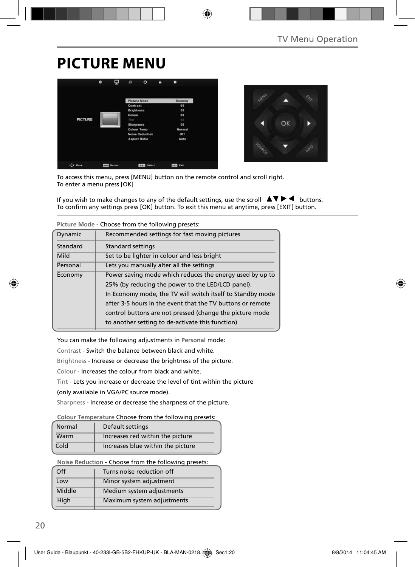## **PICTURE MENU**

|                | ۵<br>۰ | n                 | $\circ$                | п | ÷               |  |
|----------------|--------|-------------------|------------------------|---|-----------------|--|
|                |        |                   | Picture Mode           |   | Economy         |  |
|                |        | Contrast          |                        |   | 60              |  |
|                |        | <b>Brightness</b> |                        |   | 50              |  |
|                |        | Colour            |                        |   | 60              |  |
| <b>PICTURE</b> |        | Tint              |                        |   | 50              |  |
|                |        | <b>Sharpness</b>  |                        |   | 50              |  |
|                |        |                   | <b>Colour Temp</b>     |   | Normal          |  |
|                |        |                   | <b>Noise Reduction</b> |   | Off             |  |
|                |        |                   | <b>Aspect Ratio</b>    |   | Auto            |  |
|                |        |                   |                        |   |                 |  |
| C> Move        | Return |                   | Select<br>OK           |   | <b>COT Exit</b> |  |



To access this menu, press [MENU] button on the remote control and scroll right. To enter a menu press [OK]

If you wish to make changes to any of the default settings, use the scroll  $\blacktriangle \blacktriangledown \blacktriangleright \blacktriangleleft$  buttons. To confirm any settings press [OK] button. To exit this menu at anytime, press [EXIT] button.

|          | סטטע וויסווי מוכי וסווס וויסווים ומסכים.                   |
|----------|------------------------------------------------------------|
| Dynamic  | Recommended settings for fast moving pictures              |
| Standard | Standard settings                                          |
| Mild     | Set to be lighter in colour and less bright                |
| Personal | Lets you manually alter all the settings                   |
| Economy  | Power saving mode which reduces the energy used by up to   |
|          | 25% (by reducing the power to the LED/LCD panel).          |
|          | In Economy mode, the TV will switch itself to Standby mode |
|          | after 3-5 hours in the event that the TV buttons or remote |
|          | control buttons are not pressed (change the picture mode   |
|          | to another setting to de-activate this function)           |

**Picture Mode** - Choose from the following presets:

You can make the following adjustments in **Personal** mode:

Contrast - Switch the balance between black and white.

Brightness - Increase or decrease the brightness of the picture.

Colour - Increases the colour from black and white.

Tint - Lets you increase or decrease the level of tint within the picture

(only available in VGA/PC source mode).

Sharpness - Increase or decrease the sharpness of the picture.

#### **Colour Temperature** Choose from the following presets:

| Normal | Default settings                  |
|--------|-----------------------------------|
| Warm   | Increases red within the picture  |
| Cold   | Increases blue within the picture |

**Noise Reduction** - Choose from the following presets:

| Off    | Turns noise reduction off  |
|--------|----------------------------|
| Low    | Minor system adjustment    |
| Middle | Medium system adjustments  |
| High   | Maximum system adjustments |
|        |                            |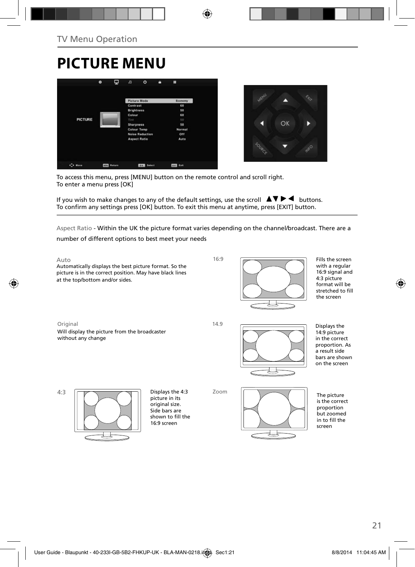## **PICTURE MENU**





To access this menu, press [MENU] button on the remote control and scroll right. To enter a menu press [OK]

If you wish to make changes to any of the default settings, use the scroll  $\blacktriangle \blacktriangledown \blacktriangleright \blacktriangleleft$  buttons. To confirm any settings press [OK] button. To exit this menu at anytime, press [EXIT] button.

Aspect Ratio - Within the UK the picture format varies depending on the channel/broadcast. There are a

number of different options to best meet your needs



Fills the screen with a regular 16:9 signal and 4:3 picture format will be stretched to fill the screen

Displays the 14:9 picture in the correct proportion. As a result side bars are shown on the screen





The picture is the correct proportion but zoomed in to fill the screen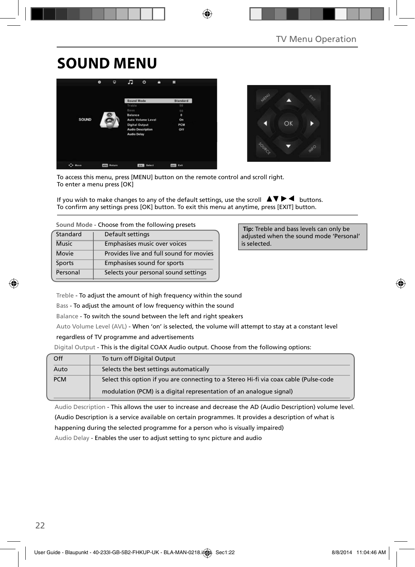## **SOUND MENU**





To access this menu, press [MENU] button on the remote control and scroll right. To enter a menu press [OK]

If you wish to make changes to any of the default settings, use the scroll  $\blacktriangle \blacktriangledown \blacktriangleright \blacktriangleleft$  buttons. To confirm any settings press [OK] button. To exit this menu at anytime, press [EXIT] button.

| Standard     | Default settings                        |
|--------------|-----------------------------------------|
| <b>Music</b> | Emphasises music over voices            |
| Movie        | Provides live and full sound for movies |
| Sports       | Emphasises sound for sports             |
| Personal     | Selects your personal sound settings    |

 **Tip:** Treble and bass levels can only be adjusted when the sound mode 'Personal' is selected.

Treble - To adjust the amount of high frequency within the sound

Bass - To adjust the amount of low frequency within the sound

Balance - To switch the sound between the left and right speakers

Auto Volume Level (AVL) - When 'on' is selected, the volume will attempt to stay at a constant level

regardless of TV programme and advertisements

Digital Output - This is the digital COAX Audio output. Choose from the following options:

| Off        | To turn off Digital Output                                                            |
|------------|---------------------------------------------------------------------------------------|
| Auto       | Selects the best settings automatically                                               |
| <b>PCM</b> | Select this option if you are connecting to a Stereo Hi-fi via coax cable (Pulse-code |
|            | modulation (PCM) is a digital representation of an analogue signal)                   |

Audio Description - This allows the user to increase and decrease the AD (Audio Description) volume level. (Audio Description is a service available on certain programmes. It provides a description of what is

happening during the selected programme for a person who is visually impaired)

Audio Delay - Enables the user to adjust setting to sync picture and audio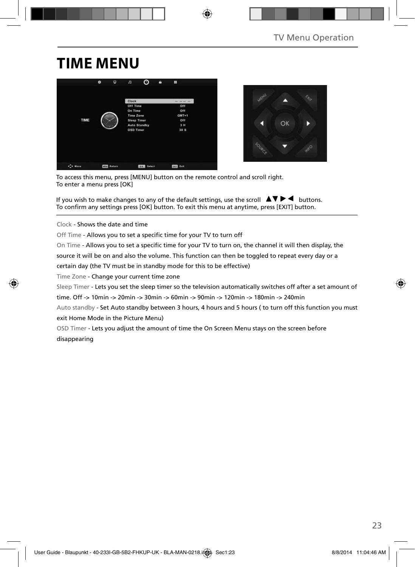## **TIME MENU**





To access this menu, press [MENU] button on the remote control and scroll right. To enter a menu press [OK]

If you wish to make changes to any of the default settings, use the scroll  $\blacktriangle \blacktriangledown \blacktriangleright \blacktriangleleft$  buttons. To confirm any settings press [OK] button. To exit this menu at anytime, press [EXIT] button.

Clock - Shows the date and time

Off Time - Allows you to set a specific time for your TV to turn off

On Time - Allows you to set a specific time for your TV to turn on, the channel it will then display, the

source it will be on and also the volume. This function can then be toggled to repeat every day or a

certain day (the TV must be in standby mode for this to be effective)

Time Zone - Change your current time zone

Sleep Timer - Lets you set the sleep timer so the television automatically switches off after a set amount of

time. Off -> 10min -> 20min -> 30min -> 60min -> 90min -> 120min -> 180min -> 240min

Auto standby - Set Auto standby between 3 hours, 4 hours and 5 hours ( to turn off this function you must exit Home Mode in the Picture Menu)

OSD Timer - Lets you adjust the amount of time the On Screen Menu stays on the screen before disappearing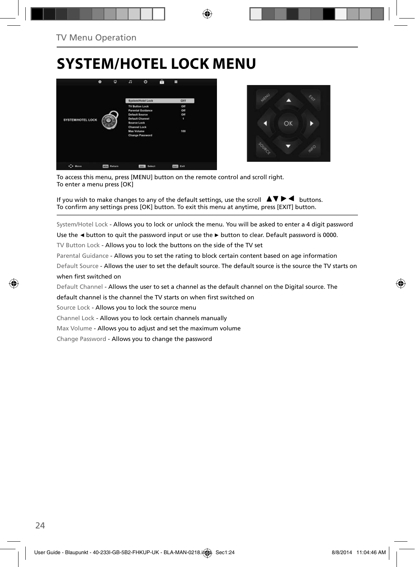## **SYSTEM/HOTEL LOCK MENU**





To access this menu, press [MENU] button on the remote control and scroll right. To enter a menu press [OK]

If you wish to make changes to any of the default settings, use the scroll  $\Box \Box \blacktriangleright \blacktriangleleft$  buttons. To confirm any settings press [OK] button. To exit this menu at anytime, press [EXIT] button.

System/Hotel Lock - Allows you to lock or unlock the menu. You will be asked to enter a 4 digit password

Use the **◄** button to quit the password input or use the **►** button to clear. Default password is 0000.

TV Button Lock - Allows you to lock the buttons on the side of the TV set

Parental Guidance - Allows you to set the rating to block certain content based on age information

Default Source - Allows the user to set the default source. The default source is the source the TV starts on when first switched on

Default Channel - Allows the user to set a channel as the default channel on the Digital source. The

default channel is the channel the TV starts on when first switched on

Source Lock - Allows you to lock the source menu

Channel Lock - Allows you to lock certain channels manually

Max Volume - Allows you to adjust and set the maximum volume

Change Password - Allows you to change the password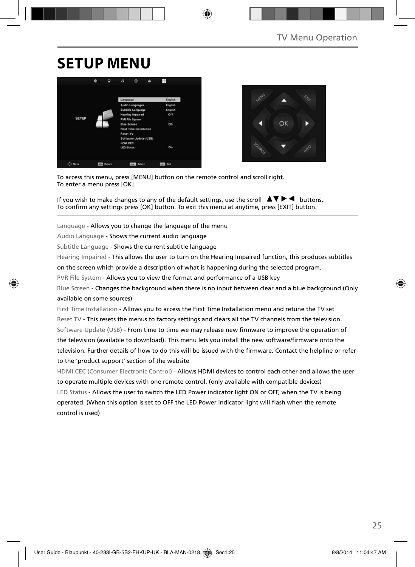## **SETUP MENU**





To access this menu, press [MENU] button on the remote control and scroll right. To enter a menu press [OK]

If you wish to make changes to any of the default settings, use the scroll  $\Box \blacktriangledown \blacktriangleright \blacktriangleleft$  buttons. To confirm any settings press [OK] button. To exit this menu at anytime, press [EXIT] button.

Language - Allows you to change the language of the menu

Audio Language - Shows the current audio language

Subtitle Language - Shows the current subtitle language

Hearing Impaired - This allows the user to turn on the Hearing Impaired function, this produces subtitles

on the screen which provide a description of what is happening during the selected program.

PVR File System - Allows you to view the format and performance of a USB key

Blue Screen - Changes the background when there is no input between clear and a blue background (Only available on some sources)

First Time Installation - Allows you to access the First Time Installation menu and retune the TV set Reset TV - This resets the menus to factory settings and clears all the TV channels from the television. Software Update (USB) - From time to time we may release new firmware to improve the operation of the television (available to download). This menu lets you install the new software/firmware onto the television. Further details of how to do this will be issued with the firmware. Contact the helpline or refer to the 'product support' section of the website

HDMI CEC (Consumer Electronic Control) - Allows HDMI devices to control each other and allows the user to operate multiple devices with one remote control. (only available with compatible devices) LED Status - Allows the user to switch the LED Power indicator light ON or OFF, when the TV is being operated. (When this option is set to OFF the LED Power indicator light will flash when the remote control is used)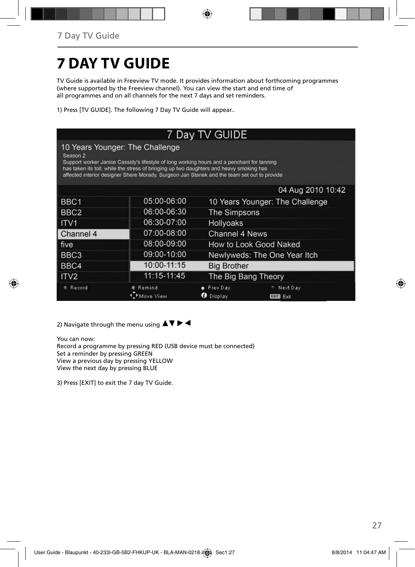## **7 DAY TV GUIDE**

TV Guide is available in Freeview TV mode. It provides information about forthcoming programmes (where supported by the Freeview channel). You can view the start and end time of all programmes and on all channels for the next 7 days and set reminders.

1) Press [TV GUIDE]. The following 7 Day TV Guide will appear..

| 7 Day TV GUIDE                                                                                                                                                                                                                                                                                                                                 |                     |                                                        |  |  |  |  |  |  |
|------------------------------------------------------------------------------------------------------------------------------------------------------------------------------------------------------------------------------------------------------------------------------------------------------------------------------------------------|---------------------|--------------------------------------------------------|--|--|--|--|--|--|
| 10 Years Younger: The Challenge<br>Season <sub>2</sub><br>Support worker Janice Cassidy's lifestyle of long working hours and a penchant for tanning<br>has taken its toll, while the stress of bringing up two daughters and heavy smoking has<br>affected interior designer Shere Morady. Surgeon Jan Stanek and the team set out to provide |                     |                                                        |  |  |  |  |  |  |
|                                                                                                                                                                                                                                                                                                                                                |                     | 04 Aug 2010 10:42                                      |  |  |  |  |  |  |
| BBC <sub>1</sub>                                                                                                                                                                                                                                                                                                                               | 05:00-06:00         | 10 Years Younger: The Challenge                        |  |  |  |  |  |  |
| BBC <sub>2</sub>                                                                                                                                                                                                                                                                                                                               | 06:00-06:30         | <b>The Simpsons</b>                                    |  |  |  |  |  |  |
| ITV <sub>1</sub>                                                                                                                                                                                                                                                                                                                               | 06:30-07:00         | <b>Hollyoaks</b>                                       |  |  |  |  |  |  |
| Channel 4                                                                                                                                                                                                                                                                                                                                      | 07:00-08:00         | Channel 4 News                                         |  |  |  |  |  |  |
| five                                                                                                                                                                                                                                                                                                                                           | 08:00-09:00         | How to Look Good Naked                                 |  |  |  |  |  |  |
| BBC <sub>3</sub>                                                                                                                                                                                                                                                                                                                               | 09:00-10:00         | Newlyweds: The One Year Itch                           |  |  |  |  |  |  |
| BBC4                                                                                                                                                                                                                                                                                                                                           | 10:00-11:15         | <b>Big Brother</b>                                     |  |  |  |  |  |  |
| ITV <sub>2</sub>                                                                                                                                                                                                                                                                                                                               | 11:15-11:45         | The Big Bang Theory                                    |  |  |  |  |  |  |
| * Record                                                                                                                                                                                                                                                                                                                                       | Remind<br>love View | Next Day<br>Prev Day<br>Display<br><b>EXIT</b><br>Exit |  |  |  |  |  |  |

2) Navigate through the menu using  $\blacktriangle \blacktriangledown \blacktriangleright \blacktriangleleft$ 

You can now: Record a programme by pressing RED (USB device must be connected) Set a reminder by pressing GREEN View a previous day by pressing YELLOW View the next day by pressing BLUE

3) Press [EXIT] to exit the 7 day TV Guide.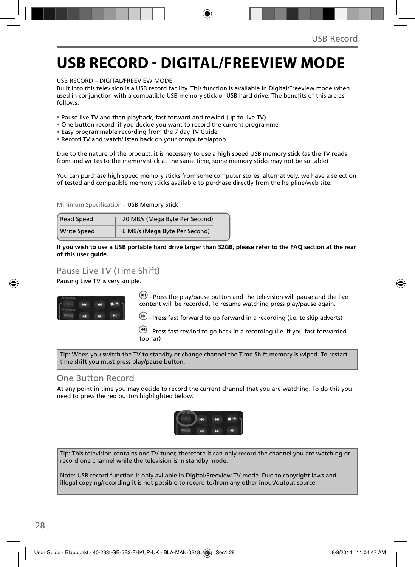## **USB RECORD - DIGITAL/FREEVIEW MODE**

USB RECORD – DIGITAL/FREEVIEW MODE

Built into this television is a USB record facility. This function is available in Digital/Freeview mode when used in conjunction with a compatible USB memory stick or USB hard drive. The benefits of this are as follows:

- Pause live TV and then playback, fast forward and rewind (up to live TV)
- One button record, if you decide you want to record the current programme
- Easy programmable recording from the 7 day TV Guide
- Record TV and watch/listen back on your computer/laptop

Due to the nature of the product, it is necessary to use a high speed USB memory stick (as the TV reads from and writes to the memory stick at the same time, some memory sticks may not be suitable)

You can purchase high speed memory sticks from some computer stores, alternatively, we have a selection of tested and compatible memory sticks available to purchase directly from the helpline/web site.

Minimum Specification - USB Memory Stick

| Read Speed         | 20 MB/s (Mega Byte Per Second) |  |
|--------------------|--------------------------------|--|
| <b>Write Speed</b> | 6 MB/s (Mega Byte Per Second)  |  |

**If you wish to use a USB portable hard drive larger than 32GB, please refer to the FAQ section at the rear of this user guide.**

### Pause Live TV (Time Shift)

Pausing Live TV is very simple.



 $\Box$  Press the play/pause button and the television will pause and the live content will be recorded. To resume watching press play/pause again.

 $\bigoplus$  - Press fast forward to go forward in a recording (i.e. to skip adverts)

 $\bigcirc$  - Press fast rewind to go back in a recording (i.e. if you fast forwarded too far)

Tip: When you switch the TV to standby or change channel the Time Shift memory is wiped. To restart time shift you must press play/pause button.

### One Button Record

At any point in time you may decide to record the current channel that you are watching. To do this you need to press the red button highlighted below.



Tip: This television contains one TV tuner, therefore it can only record the channel you are watching or record one channel while the television is in standby mode.

Note: USB record function is only avilable in Digital/Freeview TV mode. Due to copyright laws and illegal copying/recording it is not possible to record to/from any other input/output source.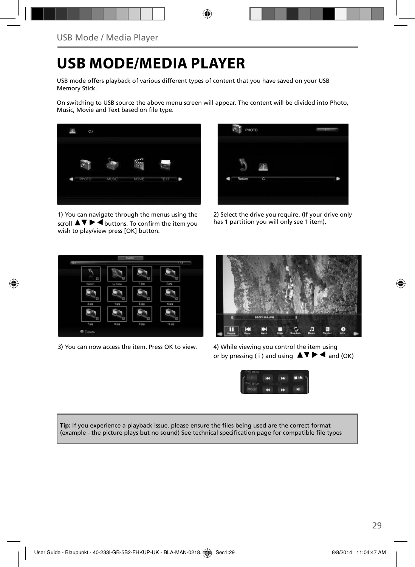## **USB MODE/MEDIA PLAYER**

USB mode offers playback of various different types of content that you have saved on your USB Memory Stick.

On switching to USB source the above menu screen will appear. The content will be divided into Photo, Music, Movie and Text based on file type.



1) You can navigate through the menus using the  $\overline{\mathsf{S}\mathsf{c}}$  scroll  $\blacktriangle \blacktriangledown \blacktriangleright \overline{\blacktriangleleft}$  buttons. To confirm the item you wish to play/view press [OK] button.



2) Select the drive you require. (If your drive only has 1 partition you will only see 1 item).



3) You can now access the item. Press OK to view. 4) While viewing you control the item using



or by pressing (i) and using  $\Delta \nabla \blacktriangleright$   $\blacktriangleleft$  and (OK)



Tip: If you experience a playback issue, please ensure the files being used are the correct format (example - the picture plays but no sound) See technical specification page for compatible file types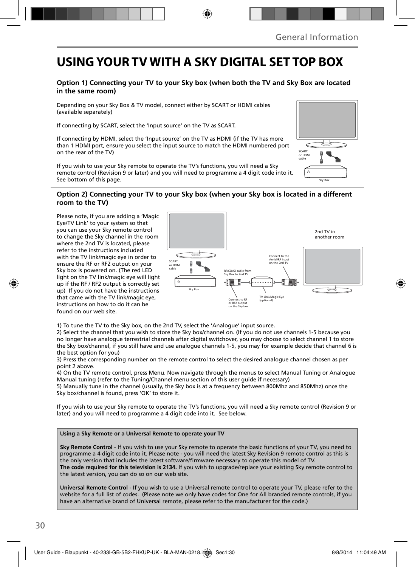## **USING YOUR TV WITH A SKY DIGITAL SET TOP BOX**

### **Option 1) Connecting your TV to your Sky box (when both the TV and Sky Box are located in the same room)**

Depending on your Sky Box & TV model, connect either by SCART or HDMI cables (available separately)

If connecting by SCART, select the 'Input source' on the TV as SCART.

If connecting by HDMI, select the 'Input source' on the TV as HDMI (if the TV has more than 1 HDMI port, ensure you select the input source to match the HDMI numbered port on the rear of the TV)

If you wish to use your Sky remote to operate the TV's functions, you will need a Sky remote control (Revision 9 or later) and you will need to programme a 4 digit code into it. See bottom of this page.

### **Option 2) Connecting your TV to your Sky box (when your Sky box is located in a different room to the TV)**  Sky Box

Please note, if you are adding a 'Magic Eve/TV Link' to your system so that you can use your Sky remote control to change the Sky channel in the room where the 2nd TV is located, please refer to the instructions included with the TV link/magic eye in order to ensure the RF or RF2 output on your Sky box is powered on. (The red LED light on the TV link/magic eye will light up if the RF / RF2 output is correctly set up) If you do not have the instructions that came with the TV link/magic eye, instructions on how to do it can be found on our web site.



1) To tune the TV to the Sky box, on the 2nd TV, select the 'Analogue' input source.

2) Select the channel that you wish to store the Sky box/channel on. (If you do not use channels 1-5 because you no longer have analogue terrestrial channels after digital switchover, you may choose to select channel 1 to store the Sky box/channel, if you still have and use analogue channels 1-5, you may for example decide that channel 6 is the best option for you)

3) Press the corresponding number on the remote control to select the desired analogue channel chosen as per point 2 above.

4) On the TV remote control, press Menu. Now navigate through the menus to select Manual Tuning or Analogue Manual tuning (refer to the Tuning/Channel menu section of this user guide if necessary)

5) Manually tune in the channel (usually, the Sky box is at a frequency between 800Mhz and 850Mhz) once the Sky box/channel is found, press 'OK' to store it.

If you wish to use your Sky remote to operate the TV's functions, you will need a Sky remote control (Revision 9 or later) and you will need to programme a 4 digit code into it. See below.

#### **Using a Sky Remote or a Universal Remote to operate your TV**

**Sky Remote Control** - If you wish to use your Sky remote to operate the basic functions of your TV, you need to programme a 4 digit code into it. Please note - you will need the latest Sky Revision 9 remote control as this is the only version that includes the latest software/firmware necessary to operate this model of TV. **The code required for this television is 2134.** If you wish to upgrade/replace your existing Sky remote control to the latest version, you can do so on our web site.

**Universal Remote Control** - If you wish to use a Universal remote control to operate your TV, please refer to the website for a full list of codes. (Please note we only have codes for One for All branded remote controls, if you have an alternative brand of Universal remote, please refer to the manufacturer for the code.)

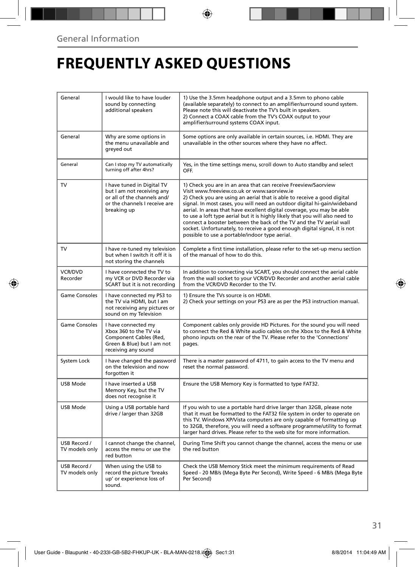## **FREQUENTLY ASKED QUESTIONS**

| General                        | I would like to have louder<br>sound by connecting<br>additional speakers                                                               | 1) Use the 3.5mm headphone output and a 3.5mm to phono cable<br>(available separately) to connect to an amplifier/surround sound system.<br>Please note this will deactivate the TV's built in speakers.<br>2) Connect a COAX cable from the TV's COAX output to your<br>amplifier/surround systems COAX input.                                                                                                                                                                                                                                                                                                                      |  |
|--------------------------------|-----------------------------------------------------------------------------------------------------------------------------------------|--------------------------------------------------------------------------------------------------------------------------------------------------------------------------------------------------------------------------------------------------------------------------------------------------------------------------------------------------------------------------------------------------------------------------------------------------------------------------------------------------------------------------------------------------------------------------------------------------------------------------------------|--|
| General                        | Why are some options in<br>the menu unavailable and<br>greyed out                                                                       | Some options are only available in certain sources, i.e. HDMI. They are<br>unavailable in the other sources where they have no affect.                                                                                                                                                                                                                                                                                                                                                                                                                                                                                               |  |
| General                        | Can I stop my TV automatically<br>turning off after 4hrs?                                                                               | Yes, in the time settings menu, scroll down to Auto standby and select<br>OFF.                                                                                                                                                                                                                                                                                                                                                                                                                                                                                                                                                       |  |
| TV                             | I have tuned in Digital TV<br>but I am not receiving any<br>or all of the channels and/<br>or the channels I receive are<br>breaking up | 1) Check you are in an area that can receive Freeview/Saorview<br>Visit www.freeview.co.uk or www.saorview.ie<br>2) Check you are using an aerial that is able to receive a good digital<br>signal. In most cases, you will need an outdoor digital hi-gain/wideband<br>aerial. In areas that have excellent digital coverage, you may be able<br>to use a loft type aerial but it is highly likely that you will also need to<br>connect a booster between the back of the TV and the TV aerial wall<br>socket. Unfortunately, to receive a good enough digital signal, it is not<br>possible to use a portable/indoor type aerial. |  |
| TV                             | I have re-tuned my television<br>but when I switch it off it is<br>not storing the channels                                             | Complete a first time installation, please refer to the set-up menu section<br>of the manual of how to do this.                                                                                                                                                                                                                                                                                                                                                                                                                                                                                                                      |  |
| <b>VCR/DVD</b><br>Recorder     | I have connected the TV to<br>my VCR or DVD Recorder via<br>SCART but it is not recording                                               | In addition to connecting via SCART, you should connect the aerial cable<br>from the wall socket to your VCR/DVD Recorder and another aerial cable<br>from the VCR/DVD Recorder to the TV.                                                                                                                                                                                                                                                                                                                                                                                                                                           |  |
| Game Consoles                  | I have connected my PS3 to<br>the TV via HDMI, but I am<br>not receiving any pictures or<br>sound on my Television                      | 1) Ensure the TVs source is on HDMI.<br>2) Check your settings on your PS3 are as per the PS3 instruction manual.                                                                                                                                                                                                                                                                                                                                                                                                                                                                                                                    |  |
| Game Consoles                  | I have connected my<br>Xbox 360 to the TV via<br>Component Cables (Red,<br>Green & Blue) but I am not<br>receiving any sound            | Component cables only provide HD Pictures. For the sound you will need<br>to connect the Red & White audio cables on the Xbox to the Red & White<br>phono inputs on the rear of the TV. Please refer to the 'Connections'<br>pages.                                                                                                                                                                                                                                                                                                                                                                                                  |  |
| System Lock                    | I have changed the password<br>on the television and now<br>forgotten it                                                                | There is a master password of 4711, to gain access to the TV menu and<br>reset the normal password.                                                                                                                                                                                                                                                                                                                                                                                                                                                                                                                                  |  |
| <b>USB Mode</b>                | I have inserted a USB<br>Memory Key, but the TV<br>does not recognise it                                                                | Ensure the USB Memory Key is formatted to type FAT32.                                                                                                                                                                                                                                                                                                                                                                                                                                                                                                                                                                                |  |
| <b>USB Mode</b>                | Using a USB portable hard<br>drive / larger than 32GB                                                                                   | If you wish to use a portable hard drive larger than 32GB, please note<br>that it must be formatted to the FAT32 file system in order to operate on<br>this TV. Windows XP/Vista computers are only capable of formatting up<br>to 32GB, therefore, you will need a software programme/utility to format<br>larger hard drives. Please refer to the web site for more information.                                                                                                                                                                                                                                                   |  |
| USB Record /<br>TV models only | I cannot change the channel,<br>access the menu or use the<br>red button                                                                | During Time Shift you cannot change the channel, access the menu or use<br>the red button                                                                                                                                                                                                                                                                                                                                                                                                                                                                                                                                            |  |
| USB Record /<br>TV models only | When using the USB to<br>record the picture 'breaks<br>up' or experience loss of<br>sound.                                              | Check the USB Memory Stick meet the minimum requirements of Read<br>Speed - 20 MB/s (Mega Byte Per Second), Write Speed - 6 MB/s (Mega Byte<br>Per Second)                                                                                                                                                                                                                                                                                                                                                                                                                                                                           |  |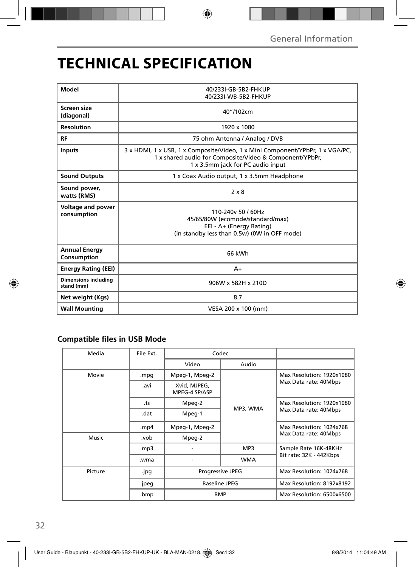## **TECHNICAL SPECIFICATION**

| Model                                     | 40/233I-GB-5B2-FHKUP<br>40/233I-WB-5B2-FHKUP                                                                                                                                  |  |  |  |
|-------------------------------------------|-------------------------------------------------------------------------------------------------------------------------------------------------------------------------------|--|--|--|
| Screen size<br>(diagonal)                 | 40"/102cm                                                                                                                                                                     |  |  |  |
| <b>Resolution</b>                         | 1920 x 1080                                                                                                                                                                   |  |  |  |
| RF                                        | 75 ohm Antenna / Analog / DVB                                                                                                                                                 |  |  |  |
| <b>Inputs</b>                             | 3 x HDMI, 1 x USB, 1 x Composite/Video, 1 x Mini Component/YPbPr, 1 x VGA/PC,<br>1 x shared audio for Composite/Video & Component/YPbPr,<br>1 x 3.5mm jack for PC audio input |  |  |  |
| <b>Sound Outputs</b>                      | 1 x Coax Audio output, 1 x 3.5mm Headphone                                                                                                                                    |  |  |  |
| Sound power,<br>watts (RMS)               | $2 \times 8$                                                                                                                                                                  |  |  |  |
| <b>Voltage and power</b><br>consumption   | 110-240y 50 / 60Hz<br>45/65/80W (ecomode/standard/max)<br>EEI - A+ (Energy Rating)<br>(in standby less than 0.5w) (0W in OFF mode)                                            |  |  |  |
| <b>Annual Energy</b><br>Consumption       | 66 kWh                                                                                                                                                                        |  |  |  |
| <b>Energy Rating (EEI)</b>                | $A+$                                                                                                                                                                          |  |  |  |
| <b>Dimensions including</b><br>stand (mm) | 906W x 582H x 210D                                                                                                                                                            |  |  |  |
| Net weight (Kgs)                          | 8.7                                                                                                                                                                           |  |  |  |
| <b>Wall Mounting</b>                      | VESA 200 x 100 (mm)                                                                                                                                                           |  |  |  |

### **Compatible files in USB Mode**

|       | Codec                         |            |                                                    |
|-------|-------------------------------|------------|----------------------------------------------------|
|       | Video                         | Audio      |                                                    |
| .mpg  | Mpeg-1, Mpeg-2                | MP3, WMA   | Max Resolution: 1920x1080<br>Max Data rate: 40Mbps |
| .avi  | Xvid, MJPEG,<br>MPEG-4 SP/ASP |            |                                                    |
| .ts   | Mpeg-2                        |            | Max Resolution: 1920x1080                          |
| .dat  | Mpeg-1                        |            | Max Data rate: 40Mbps                              |
| mp4.  | Mpeg-1, Mpeg-2                |            | Max Resolution: 1024x768                           |
| .vob  | Mpeg-2                        |            | Max Data rate: 40Mbps                              |
| mp3.  |                               | MP3        | Sample Rate 16K-48KHz                              |
| .wma  |                               | <b>WMA</b> | Bit rate: 32K - 442Kbps                            |
| .jpg  | <b>Progressive JPEG</b>       |            | Max Resolution: 1024x768                           |
| .jpeg | <b>Baseline JPEG</b>          |            | Max Resolution: 8192x8192                          |
| .bmp  | <b>BMP</b>                    |            | Max Resolution: 6500x6500                          |
|       |                               |            |                                                    |